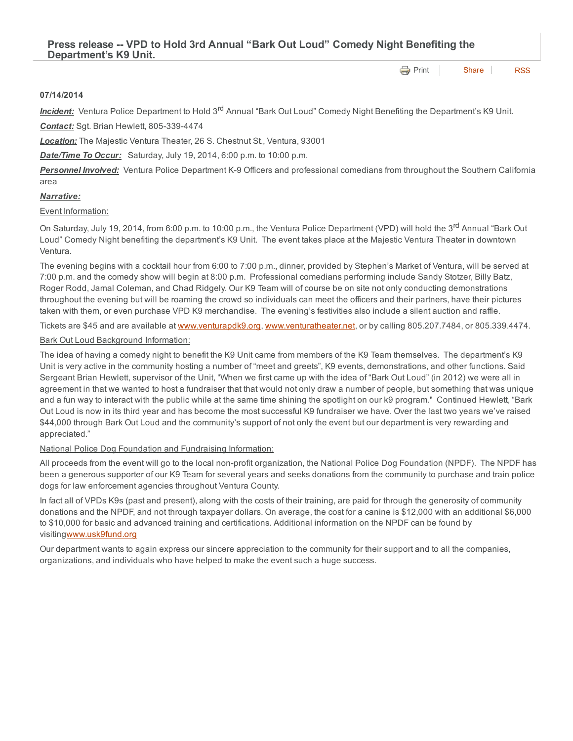**[Print](http://www.cityofventura.net/print/15925)** | [Share](javascript:void(0)) | [RSS](http://www.cityofventura.net/feed/press_release/rss.xml)

#### 07/14/2014

Incident: Ventura Police Department to Hold 3<sup>rd</sup> Annual "Bark Out Loud" Comedy Night Benefiting the Department's K9 Unit. **Contact:** Sgt. Brian Hewlett, 805-339-4474

*Location:* The Majestic Ventura Theater, 26 S. Chestnut St., Ventura, 93001

*Date/Time To Occur:* Saturday, July 19, 2014, 6:00 p.m. to 10:00 p.m.

**Personnel Involved:** Ventura Police Department K-9 Officers and professional comedians from throughout the Southern California area

### *Narrative:*

## Event Information:

On Saturday, July 19, 2014, from 6:00 p.m. to 10:00 p.m., the Ventura Police Department (VPD) will hold the 3<sup>rd</sup> Annual "Bark Out Loud" Comedy Night benefiting the department's K9 Unit. The event takes place at the Majestic Ventura Theater in downtown Ventura.

The evening begins with a cocktail hour from 6:00 to 7:00 p.m., dinner, provided by Stephen's Market of Ventura, will be served at 7:00 p.m. and the comedy show will begin at 8:00 p.m. Professional comedians performing include Sandy Stotzer, Billy Batz, Roger Rodd, Jamal Coleman, and Chad Ridgely. Our K9 Team will of course be on site not only conducting demonstrations throughout the evening but will be roaming the crowd so individuals can meet the officers and their partners, have their pictures taken with them, or even purchase VPD K9 merchandise. The evening's festivities also include a silent auction and raffle.

Tickets are \$45 and are available at [www.venturapdk9.org,](http://www.venturapdk9.org/) [www.venturatheater.net,](http://www.venturatheater.net/) or by calling 805.207.7484, or 805.339.4474.

# **Bark Out Loud Background Information:**

The idea of having a comedy night to benefit the K9 Unit came from members of the K9 Team themselves. The department's K9 Unit is very active in the community hosting a number of "meet and greets", K9 events, demonstrations, and other functions. Said Sergeant Brian Hewlett, supervisor of the Unit, "When we first came up with the idea of "Bark Out Loud" (in 2012) we were all in agreement in that we wanted to host a fundraiser that that would not only draw a number of people, but something that was unique and a fun way to interact with the public while at the same time shining the spotlight on our k9 program." Continued Hewlett, "Bark Out Loud is now in its third year and has become the most successful K9 fundraiser we have. Over the last two years we've raised \$44,000 through Bark Out Loud and the community's support of not only the event but our department is very rewarding and appreciated."

### National Police Dog Foundation and Fundraising Information:

All proceeds from the event will go to the local non-profit organization, the National Police Dog Foundation (NPDF). The NPDF has been a generous supporter of our K9 Team for several years and seeks donations from the community to purchase and train police dogs for law enforcement agencies throughout Ventura County.

In fact all of VPDs K9s (past and present), along with the costs of their training, are paid for through the generosity of community donations and the NPDF, and not through taxpayer dollars. On average, the cost for a canine is \$12,000 with an additional \$6,000 to \$10,000 for basic and advanced training and certifications. Additional information on the NPDF can be found by visiting[www.usk9fund.org](http://www.usk9fund.org/)

Our department wants to again express our sincere appreciation to the community for their support and to all the companies, organizations, and individuals who have helped to make the event such a huge success.